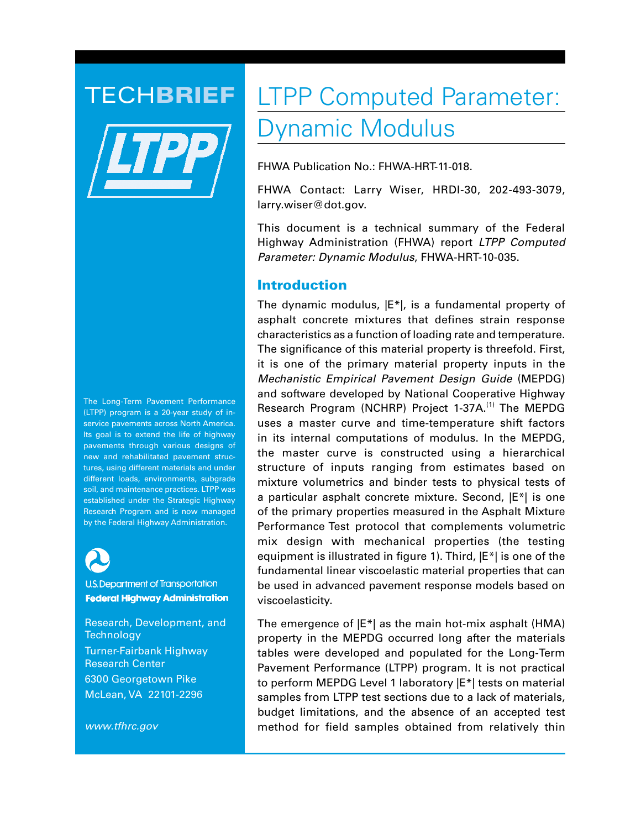

The Long-Term Pavement Performance (LTPP) program is a 20-year study of inservice pavements across North America. Its goal is to extend the life of highway pavements through various designs of new and rehabilitated pavement structures, using different materials and under different loads, environments, subgrade soil, and maintenance practices. LTPP was established under the Strategic Highway Research Program and is now managed by the Federal Highway Administration.



U.S. Department of Transportation **Federal Highway Administration** 

Research, Development, and **Technology** Turner-Fairbank Highway Research Center 6300 Georgetown Pike McLean, VA 22101-2296

*www.tfhrc.gov*

# TECHBRIEF LTPP Computed Parameter: Dynamic Modulus

FHWA Publication No.: FHWA-HRT-11-018.

FHWA Contact: Larry Wiser, HRDI-30, 202-493-3079, larry.wiser@dot.gov.

This document is a technical summary of the Federal Highway Administration (FHWA) report *LTPP Computed Parameter: Dynamic Modulus*, FHWA-HRT-10-035.

## Introduction

The dynamic modulus,  $|E^*|$ , is a fundamental property of asphalt concrete mixtures that defines strain response characteristics as a function of loading rate and temperature. The significance of this material property is threefold. First, it is one of the primary material property inputs in the *Mechanistic Empirical Pavement Design Guide* (MEPDG) and software developed by National Cooperative Highway Research Program (NCHRP) Project 1-37A.<sup>(1)</sup> The MEPDG uses a master curve and time-temperature shift factors in its internal computations of modulus. In the MEPDG, the master curve is constructed using a hierarchical structure of inputs ranging from estimates based on mixture volumetrics and binder tests to physical tests of a particular asphalt concrete mixture. Second, |E\*| is one of the primary properties measured in the Asphalt Mixture Performance Test protocol that complements volumetric mix design with mechanical properties (the testing equipment is illustrated in figure 1). Third, |E\*| is one of the fundamental linear viscoelastic material properties that can be used in advanced pavement response models based on viscoelasticity.

The emergence of  $|E^*|$  as the main hot-mix asphalt (HMA) property in the MEPDG occurred long after the materials tables were developed and populated for the Long-Term Pavement Performance (LTPP) program. It is not practical to perform MEPDG Level 1 laboratory |E\*| tests on material samples from LTPP test sections due to a lack of materials, budget limitations, and the absence of an accepted test method for field samples obtained from relatively thin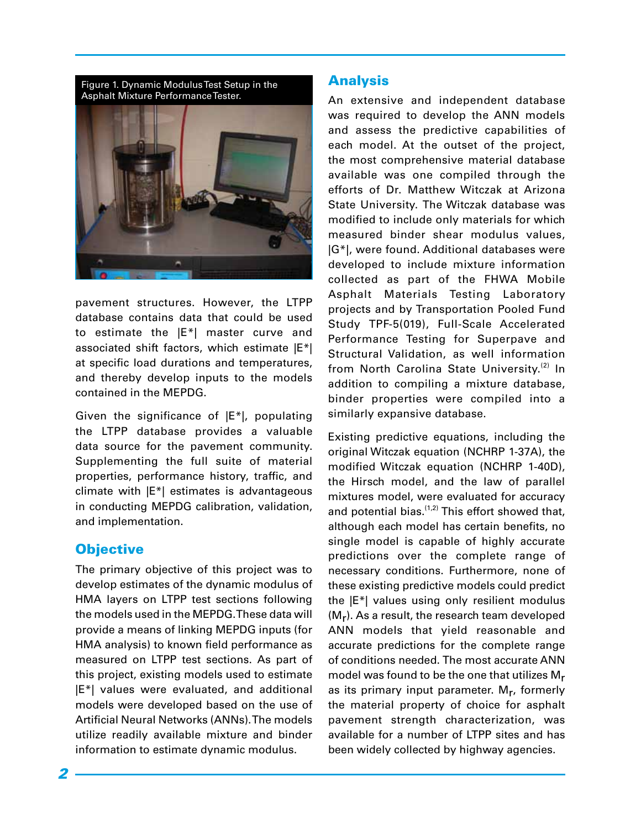Figure 1. Dynamic Modulus Test Setup in the Asphalt Mixture Performance Tester.



pavement structures. However, the LTPP database contains data that could be used to estimate the |E\*| master curve and associated shift factors, which estimate |E\*| at specific load durations and temperatures, and thereby develop inputs to the models contained in the MEPDG.

Given the significance of |E\*|, populating the LTPP database provides a valuable data source for the pavement community. Supplementing the full suite of material properties, performance history, traffic, and climate with |E\*| estimates is advantageous in conducting MEPDG calibration, validation, and implementation.

### **Objective**

The primary objective of this project was to develop estimates of the dynamic modulus of HMA layers on LTPP test sections following the models used in the MEPDG. These data will provide a means of linking MEPDG inputs (for HMA analysis) to known field performance as measured on LTPP test sections. As part of this project, existing models used to estimate |E\*| values were evaluated, and additional models were developed based on the use of Artificial Neural Networks (ANNs). The models utilize readily available mixture and binder information to estimate dynamic modulus.

#### Analysis

An extensive and independent database was required to develop the ANN models and assess the predictive capabilities of each model. At the outset of the project, the most comprehensive material database available was one compiled through the efforts of Dr. Matthew Witczak at Arizona State University. The Witczak database was modified to include only materials for which measured binder shear modulus values, |G\*|, were found. Additional databases were developed to include mixture information collected as part of the FHWA Mobile Asphalt Materials Testing Laboratory projects and by Transportation Pooled Fund Study TPF-5(019), Full-Scale Accelerated Performance Testing for Superpave and Structural Validation, as well information from North Carolina State University.<sup>(2)</sup> In addition to compiling a mixture database, binder properties were compiled into a similarly expansive database.

Existing predictive equations, including the original Witczak equation (NCHRP 1-37A), the modified Witczak equation (NCHRP 1-40D), the Hirsch model, and the law of parallel mixtures model, were evaluated for accuracy and potential bias. $(1,2)$  This effort showed that, although each model has certain benefits, no single model is capable of highly accurate predictions over the complete range of necessary conditions. Furthermore, none of these existing predictive models could predict the |E\*| values using only resilient modulus  $(M_r)$ . As a result, the research team developed ANN models that yield reasonable and accurate predictions for the complete range of conditions needed. The most accurate ANN model was found to be the one that utilizes Mr as its primary input parameter. M<sub>r</sub>, formerly the material property of choice for asphalt pavement strength characterization, was available for a number of LTPP sites and has been widely collected by highway agencies.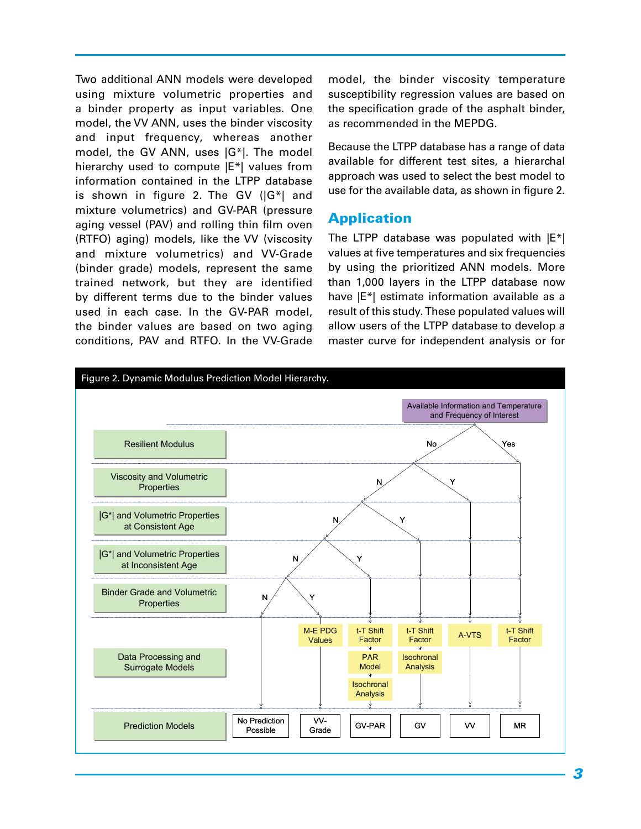Two additional ANN models were developed using mixture volumetric properties and a binder property as input variables. One model, the VV ANN, uses the binder viscosity and input frequency, whereas another model, the GV ANN, uses |G\*|. The model hierarchy used to compute |E\*| values from information contained in the LTPP database is shown in figure 2. The GV (|G\*| and mixture volumetrics) and GV-PAR (pressure aging vessel (PAV) and rolling thin film oven (RTFO) aging) models, like the VV (viscosity and mixture volumetrics) and VV-Grade (binder grade) models, represent the same trained network, but they are identified by different terms due to the binder values used in each case. In the GV-PAR model, the binder values are based on two aging conditions, PAV and RTFO. In the VV-Grade

model, the binder viscosity temperature susceptibility regression values are based on the specification grade of the asphalt binder, as recommended in the MEPDG.

Because the LTPP database has a range of data available for different test sites, a hierarchal approach was used to select the best model to use for the available data, as shown in figure 2.

### Application

The LTPP database was populated with  $|E^*|$ values at five temperatures and six frequencies by using the prioritized ANN models. More than 1,000 layers in the LTPP database now have  $|E^*|$  estimate information available as a result of this study. These populated values will allow users of the LTPP database to develop a master curve for independent analysis or for